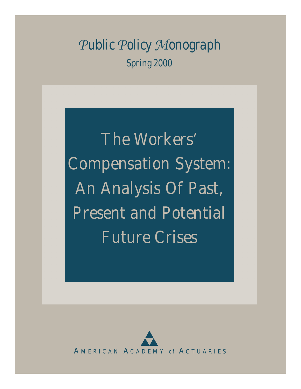*Public Policy Monograph Spring 2000*

The Workers' Compensation System: An Analysis Of Past, Present and Potential Future Crises

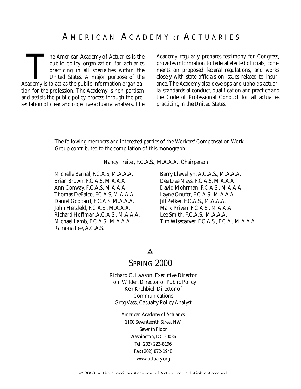## A M E R I C A N A C A D E M <sup>Y</sup> *o f* A C T U A R I E S

The American Academy of Actuaries is the public policy organization for actuaries practicing in all specialties within the United States. A major purpose of the Academy is to act as the public information organizahe American Academy of Actuaries is the public policy organization for actuaries practicing in all specialties within the United States. A major purpose of the tion for the profession. The Academy is non-partisan and assists the public policy process through the presentation of clear and objective actuarial analysis. The

Academy regularly prepares testimony for Congress, provides information to federal elected officials, comments on proposed federal regulations, and works closely with state officials on issues related to insurance. The Academy also develops and upholds actuarial standards of conduct, qualification and practice and the Code of Professional Conduct for all actuaries practicing in the United States.

The following members and interested parties of the Workers' Compensation Work Group contributed to the compilation of this monograph:

Nancy Treitel, F.C.A.S., M.A.A.A., *Chairperson*

Michelle Bernal, F.C.A.S, M.A.A.A. Brian Brown, F.C.A.S, M.A.A.A. Ann Conway, F.C.A.S, M.A.A.A. Thomas DeFalco, FC.A.S, M.A.A.A. Daniel Goddard, F.C.A.S, M.A.A.A. John Herzfeld, F.C.A.S., M.A.A.A. Richard Hoffman,A.C.A.S., M.A.A.A. Michael Lamb, F.C.A.S., M.A.A.A. Ramona Lee, A.C.A.S.

Barry Llewellyn, A.C.A.S., M.A.A.A. Dee Dee Mays, F.C.A.S, M.A.A.A. David Mohrman, F.C.A.S., M.A.A.A. Layne Onufer, F.C.A.S., M.A.A.A. Jill Petker, F.C.A.S., M.A.A.A. Mark Priven, F.C.A.S., M.A.A.A. Lee Smith, F.C.A.S., M.A.A.A. Tim Wisecarver, F.C.A.S., F.C.A., M.A.A.A.

#### $\mathbf{A}$

## SPRING 2000

Richard C. Lawson, Executive Director Tom Wilder, Director of Public Policy Ken Krehbiel, Director of Communications Greg Vass, Casualty Policy Analyst

> American Academy of Actuaries 1100 Seventeenth Street NW Seventh Floor Washington, DC 20036 Tel (202) 223-8196 Fax (202) 872-1948 www.actuary.org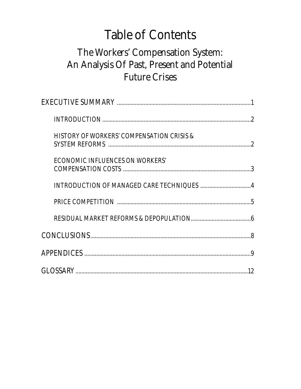# **Table of Contents**

# The Workers' Compensation System: An Analysis Of Past, Present and Potential **Future Crises**

| <b>HISTORY OF WORKERS' COMPENSATION CRISIS &amp;</b> |  |
|------------------------------------------------------|--|
| <b>ECONOMIC INFLUENCES ON WORKERS'</b>               |  |
|                                                      |  |
|                                                      |  |
|                                                      |  |
|                                                      |  |
|                                                      |  |
|                                                      |  |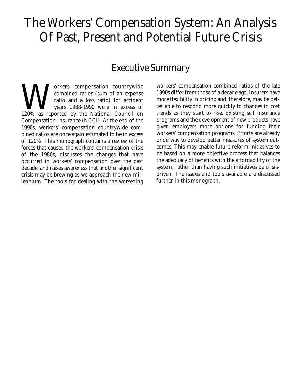# The Workers' Compensation System: An Analysis Of Past, Present and Potential Future Crisis

## Executive Summary

Wallen Combined ratios (sum of an expense ratio and a loss ratio) for accident years 1988-1990 were in excess of 120% as reported by the National Council on orkers' compensation countrywide combined ratios (sum of an expense ratio and a loss ratio) for accident years 1988-1990 were in excess of Compensation Insurance (NCCI). At the end of the 1990s, workers' compensation countrywide combined ratios are once again estimated to be in excess of 120%. This monograph contains a review of the forces that caused the workers' compensation crisis of the 1980s, discusses the changes that have occurred in workers' compensation over the past decade, and raises awareness that another significant crisis may be brewing as we approach the new millennium. The tools for dealing with the worsening

workers' compensation combined ratios of the late 1990s differ from those of a decade ago. Insurers have more flexibility in pricing and, therefore, may be better able to respond more quickly to changes in cost trends as they start to rise. Existing self insurance programs and the development of new products have given employers more options for funding their workers' compensation programs. Efforts are already underway to develop better measures of system outcomes. This may enable future reform initiatives to be based on a more objective process that balances the adequacy of benefits with the affordability of the system, rather than having such initiatives be crisisdriven. The issues and tools available are discussed further in this monograph.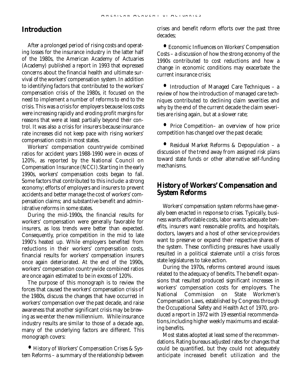#### **Introduction**

After a prolonged period of rising costs and operating losses for the insurance industry in the latter half of the 1980s, the American Academy of Actuaries (Academy) published a report in 1993 that expressed concerns about the financial health and ultimate survival of the workers' compensation system.In addition to identifying factors that contributed to the workers' compensation crisis of the 1980s, it focused on the need to implement a number of reforms to end to the crisis. This was a crisis for employers because loss costs were increasing rapidly and eroding profit margins for reasons that were at least partially beyond their control. It was also a crisis for insurers because insurance rate increases did not keep pace with rising workers' compensation costs in most states.

Workers' compensation countrywide combined ratios for accident years 1988-1990 were in excess of 120%, as reported by the National Council on Compensation Insurance (NCCI).Starting in the early 1990s, workers' compensation costs began to fall. Some factors that contributed to this include: a strong economy; efforts of employers and insurers to prevent accidents and better manage the cost of workers' compensation claims; and substantive benefit and administrative reforms in some states.

During the mid-1990s, the financial results for workers' compensation were generally favorable for insurers, as loss trends were better than expected. Consequently, price competition in the mid to late 1990's heated up. While employers benefited from reductions in their workers' compensation costs, financial results for workers' compensation insurers once again deteriorated. At the end of the 1990s, workers' compensation countrywide combined ratios are once again estimated to be in excess of 120%.

The purpose of this monograph is to review the forces that caused the workers' compensation crisis of the 1980s, discuss the changes that have occurred in workers' compensation over the past decade, and raise awareness that another significant crisis may be brewing as we enter the new millennium. While insurance industry results are similar to those of a decade ago, many of the underlying factors are different. This monograph covers:

**•** History of Workers' Compensation Crises & System Reforms – a summary of the relationship between crises and benefit reform efforts over the past three decades;

**•** Economic Influences on Workers' Compensation Costs – a discussion of how the strong economy of the 1990s contributed to cost reductions and how a change in economic conditions may exacerbate the current insurance crisis;

**•** Introduction of Managed Care Techniques – a review of how the introduction of managed care techniques contributed to declining claim severities and why by the end of the current decade the claim severities are rising again, but at a slower rate;

**•** Price Competition– an overview of how price competition has changed over the past decade;

**•** Residual Market Reforms & Depopulation – a discussion of the trend away from assigned risk plans toward state funds or other alternative self-funding mechanisms.

### **History of Workers' Compensation and System Reforms**

Workers' compensation system reforms have generally been enacted in response to crises. Typically, business wants affordable costs, labor wants adequate benefits, insurers want reasonable profits, and hospitals, doctors, lawyers and a host of other service providers want to preserve or expand their respective shares of the system. These conflicting pressures have usually resulted in a political stalemate until a crisis forces state legislatures to take action.

During the 1970s, reforms centered around issues related to the adequacy of benefits. The benefit expansions that resulted produced significant increases in workers' compensation costs for employers. The<br>National Commission on State Workmen's National Commission on Compensation Laws, established by Congress through the Occupational Safety and Health Act of 1970, produced a report in 1972 with 19 essential recommendations,including higher weekly maximums and escalating benefits.

Most states adopted at least some of the recommendations. Rating bureaus adjusted rates for changes that could be quantified, but they could not adequately anticipate increased benefit utilization and the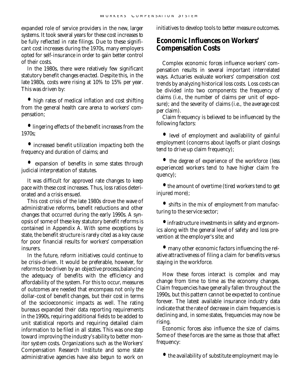expanded role of service providers in the new, larger systems. It took several years for these cost increases to be fully reflected in rate filings. Due to these significant cost increases during the 1970s, many employers opted for self-insurance in order to gain better control of their costs.

In the 1980s, there were relatively few significant statutory benefit changes enacted. Despite this, in the late 1980s, costs were rising at 10% to 15% per year. This was driven by:

**•** high rates of medical inflation and cost shifting from the general health care arena to workers' compensation;

**•** lingering effects of the benefit increases from the 1970s;

**•** increased benefit utilization impacting both the frequency and duration of claims; and

**•** expansion of benefits in some states through judicial interpretation of statutes.

It was difficult for approved rate changes to keep pace with these cost increases. Thus, loss ratios deteriorated and a crisis ensued.

This cost crisis of the late 1980s drove the wave of administrative reforms, benefit reductions and other changes that occurred during the early 1990s. A synopsis of some of these key statutory benefit reforms is contained in Appendix A. With some exceptions by state, the benefit structure is rarely cited as a key cause for poor financial results for workers' compensation insurers.

In the future, reform initiatives could continue to be crisis-driven. It would be preferable, however, for reforms to be driven by an objective process,balancing the adequacy of benefits with the efficiency and affordability of the system. For this to occur, measures of outcomes are needed that encompass not only the dollar-cost of benefit changes, but their cost in terms of the socioeconomic impacts as well. The rating bureaus expanded their data reporting requirements in the 1990s, requiring additional fields to be added to unit statistical reports and requiring detailed claim information to be filed in all states. This was one step toward improving the industry's ability to better monitor system costs. Organizations such as the Workers' Compensation Research Institute and some state administrative agencies have also begun to work on initiatives to develop tools to better measure outcomes.

## **Economic Influences on Workers' Compensation Costs**

Complex economic forces influence workers' compensation results in several important interrelated ways. Actuaries evaluate workers' compensation cost trends by analyzing historical loss costs. Loss costs can be divided into two components: the frequency of claims (i.e., the number of claims per unit of exposure); and the severity of claims (i.e., the average cost per claim).

Claim frequency is believed to be influenced by the following factors:

**•** level of employment and availability of gainful employment (concerns about layoffs or plant closings tend to drive up claim frequency);

**•** the degree of experience of the workforce (less experienced workers tend to have higher claim frequency);

**•** the amount of overtime (tired workers tend to get injured more);

**•** shifts in the mix of employment from manufacturing to the service sector;

**•** infrastructure investments in safety and ergonomics along with the general level of safety and loss prevention at the employer's site; and

**•** many other economic factors influencing the relative attractiveness of filing a claim for benefits versus staying in the workforce.

How these forces interact is complex and may change from time to time as the economy changes. Claim frequencies have generally fallen throughout the 1990s, but this pattern cannot be expected to continue forever. The latest available insurance industry data indicate that the rate of decrease in claim frequencies is declining and, in some states, frequencies may now be rising.

Economic forces also influence the size of claims. Some of these forces are the same as those that affect frequency:

**•** the availability of substitute employment may le-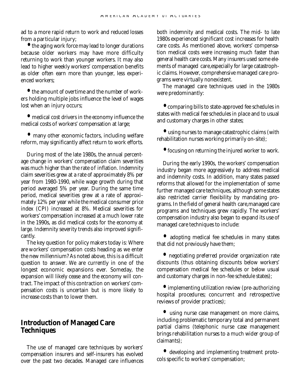ad to a more rapid return to work and reduced losses from a particular injury;

**•** the aging work force may lead to longer durations because older workers may have more difficulty returning to work than younger workers. It may also lead to higher weekly workers' compensation benefits as older often earn more than younger, less experienced workers;

**•** the amount of overtime and the number of workers holding multiple jobs influence the level of wages lost when an injury occurs;

**•** medical cost drivers in the economy influence the medical costs of workers' compensation at large;

**•** many other economic factors, including welfare reform, may significantly affect return to work efforts.

During most of the late 1980s, the annual percentage change in workers' compensation claim severities was much higher than the rate of inflation. Indemnity claim severities grew at a rate of approximately 8% per year from 1980-1990, while wage growth during that period averaged 5% per year. During the same time period, medical severities grew at a rate of approximately 12% per year while the medical consumer price index (CPI) increased at 8%. Medical severities for workers' compensation increased at a much lower rate in the 1990s, as did medical costs for the economy at large. Indemnity severity trends also improved significantly.

The key question for policy makers today is: Where are workers' compensation costs heading as we enter the new millennium? As noted above, this is a difficult question to answer. We are currently in one of the longest economic expansions ever. Someday, the expansion will likely cease and the economy will contract. The impact of this contraction on workers' compensation costs is uncertain but is more likely to increase costs than to lower them.

### **Introduction of Managed Care Techniques**

The use of managed care techniques by workers' compensation insurers and self-insurers has evolved over the past two decades. Managed care influences

both indemnity and medical costs. The mid- to late 1980s experienced significant cost increases for health care costs. As mentioned above, workers' compensation medical costs were increasing much faster than general health care costs. Many insurers used some elements of managed care,especially for large catastrophic claims. However, comprehensive managed care programs were virtually nonexistent.

The managed care techniques used in the 1980s were predominantly:

**•** comparing bills to state-approved fee schedules in states with medical fee schedules in place and to usual and customary charges in other states;

**•** using nurses to manage catastrophic claims (with rehabilitation nurses working primarily on-site);

**•** focusing on returning the injured worker to work.

During the early 1990s, the workers' compensation industry began more aggressively to address medical and indemnity costs. In addition, many states passed reforms that allowed for the implementation of some further managed care techniques, although some states also restricted carrier flexibility by mandating programs. In the field of general health care,managed care programs and techniques grew rapidly. The workers' compensation industry also began to expand its use of managed care techniques to include:

**•** adopting medical fee schedules in many states that did not previously have them;

**•** negotiating preferred provider organization rate discounts (thus obtaining discounts below workers' compensation medical fee schedules or below usual and customary charges in non-fee schedule states);

**•** implementing utilization review (pre-authorizing hospital procedures; concurrent and retrospective reviews of provider practices);

**•** using nurse case management on more claims, including problematic temporary total and permanent partial claims (telephonic nurse case management brings rehabilitation nurses to a much wider group of claimants);

**•** developing and implementing treatment protocols specific to workers' compensation;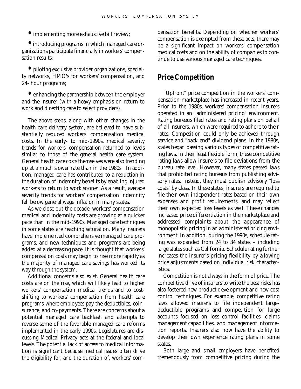**•** implementing more exhaustive bill review;

**•** introducing programs in which managed care organizations participate financially in workers' compensation results:

**•** piloting exclusive provider organizations, specialty networks, HMO's for workers' compensation, and 24- hour programs;

**•** enhancing the partnership between the employer and the insurer (with a heavy emphasis on return to work and directing care to select providers).

The above steps, along with other changes in the health care delivery system, are believed to have substantially reduced workers' compensation medical costs. In the early- to mid-1990s, medical severity trends for workers' compensation returned to levels similar to those of the general health care system. General health care costs themselves were also trending up at a much slower rate than in the 1980s. In addition, managed care has contributed to a reduction in the duration of indemnity benefits by enabling injured workers to return to work sooner. As a result, average severity trends for workers' compensation indemnity fell below general wage inflation in many states.

As we close out the decade, workers' compensation medical and indemnity costs are growing at a quicker pace than in the mid-1990s. Managed care techniques in some states are reaching saturation. Many insurers have implemented comprehensive managed care programs, and new techniques and programs are being added at a decreasing pace. It is thought that workers' compensation costs may begin to rise more rapidly as the majority of managed care savings has worked its way through the system.

Additional concerns also exist. General health care costs are on the rise, which will likely lead to higher workers' compensation medical trends and to costshifting to workers' compensation from health care programs where employees pay the deductibles, coinsurance, and co-payments. There are concerns about a potential managed care backlash and attempts to reverse some of the favorable managed care reforms implemented in the early 1990s. Legislatures are discussing Medical Privacy acts at the federal and local levels. The potential lack of access to medical information is significant because medical issues often drive the eligibility for, and the duration of, workers' com-

pensation benefits. Depending on whether workers' compensation is exempted from these acts, there may be a significant impact on workers' compensation medical costs and on the ability of companies to continue to use various managed care techniques.

### **Price Competition**

"Upfront" price competition in the workers' compensation marketplace has increased in recent years. Prior to the 1980s, workers' compensation insurers operated in an "administered pricing" environment. Rating bureaus filed rates and rating plans on behalf of all insurers, which were required to adhere to their rates. Competition could only be achieved through service and "back end" dividend plans. In the 1980s, states began passing various types of competitive rating laws. In their least flexible form, these competitive rating laws allow insurers to file deviations from the bureau rate level. However, many states passed laws that prohibited rating bureaus from publishing advisory rates. Instead, they must publish advisory "loss costs" by class. In these states, insurers are required to file their own independent rates based on their own expenses and profit requirements, and may reflect their own expected loss levels as well. These changes increased price differentiation in the marketplace and addressed complaints about the appearance of monopolistic pricing in an administered pricing environment. In addition, during the 1990s, schedule rating was expanded from 24 to 34 states – including large states such as California. Schedule rating further increases the insurer's pricing flexibility by allowing price adjustments based on individual risk characteristics.

Competition is not always in the form of price. The competitive drive of insurers to write the best risks has also fostered new product development and new cost control techniques. For example, competitive rating laws allowed insurers to file independent largedeductible programs and competition for large accounts focused on loss control facilities, claims management capabilities, and management information reports. Insurers also now have the ability to develop their own experience rating plans in some states.

Both large and small employers have benefited tremendously from competitive pricing during the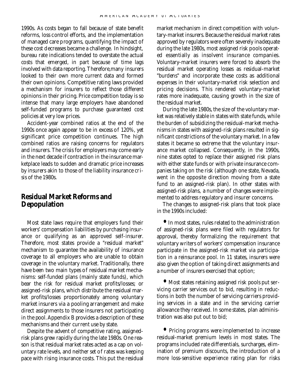1990s. As costs began to fall because of state benefit reforms, loss control efforts, and the implementation of managed care programs, quantifying the impact of these cost decreases became a challenge. In hindsight, bureau rate indications tended to overstate the actual costs that emerged, in part because of time lags involved with data reporting. Therefore,many insurers looked to their own more current data and formed their own opinions. Competitive rating laws provided a mechanism for insurers to reflect those different opinions in their pricing. Price competition today is so intense that many large employers have abandoned self-funded programs to purchase guaranteed cost policies at very low prices.

Accident-year combined ratios at the end of the 1990s once again appear to be in excess of 120%, yet significant price competition continues. The high combined ratios are raising concerns for regulators and insurers. The crisis for employers may come early in the next decade if contraction in the insurance marketplace leads to sudden and dramatic price increases by insurers akin to those of the liability insurance crisis of the 1980s.

### **Residual Market Reforms and Depopulation**

Most state laws require that employers fund their workers' compensation liabilities by purchasing insurance or qualifying as an approved self-insurer. Therefore, most states provide a "residual market" mechanism to guarantee the availability of insurance coverage to all employers who are unable to obtain coverage in the voluntary market. Traditionally, there have been two main types of residual market mechanisms: self-funded plans (mainly state funds), which bear the risk for residual market profits/losses; or assigned-risk plans, which distribute the residual market profits/losses proportionately among voluntary market insurers via a pooling arrangement and make direct assignments to those insurers not participating in the pool.Appendix B provides a description of these mechanisms and their current use by state.

Despite the advent of competitive rating, assignedrisk plans grew rapidly during the late 1980s. One reason is that residual market rates acted as a cap on voluntary rate levels, and neither set of rates was keeping pace with rising insurance costs. This put the residual

market mechanism in direct competition with voluntary-market insurers. Because the residual market rates approved by regulators were often severely inadequate during the late 1980s, most assigned risk pools operated essentially as insolvent insurance companies. Voluntary-market insurers were forced to absorb the residual market operating losses as residual-market "burdens" and incorporate these costs as additional expenses in their voluntary-market risk selection and pricing decisions. This rendered voluntary-market rates more inadequate, causing growth in the size of the residual market.

During the late 1980s, the size of the voluntary market was relatively stable in states with state funds, while the burden of subsidizing the residual-market mechanisms in states with assigned-risk plans resulted in significant constrictions of the voluntary market. In a few states it became so extreme that the voluntary insurance market collapsed. Consequently, in the 1990s, nine states opted to replace their assigned risk plans with either state funds or with private insurance companies taking on the risk (although one state, Nevada, went in the opposite direction moving from a state fund to an assigned-risk plan). In other states with assigned-risk plans, a number of changes were implemented to address regulatory and insurer concerns.

The changes to assigned-risk plans that took place in the 1990s included:

**•** In most states, rules related to the administration of assigned-risk plans were filed with regulators for approval, thereby formalizing the requirement that voluntary writers of workers' compensation insurance participate in the assigned-risk market via participation in a reinsurance pool. In 11 states, insurers were also given the option of taking direct assignments and a number of insurers exercised that option;

**•** Most states retaining assigned risk pools put servicing carrier services out to bid, resulting in reductions in both the number of servicing carriers providing services in a state and in the servicing carrier allowance they received. In some states, plan administration was also put out to bid;

**•** Pricing programs were implemented to increase residual-market premium levels in most states. The programs included rate differentials, surcharges, elimination of premium discounts, the introduction of a more loss-sensitive experience rating plan for risks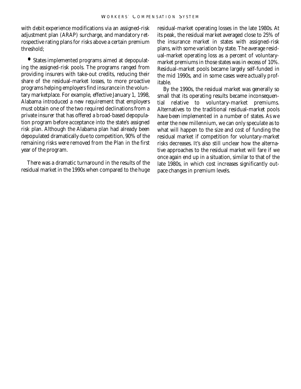with debit experience modifications via an assigned-risk adjustment plan (ARAP) surcharge, and mandatory retrospective rating plans for risks above a certain premium threshold;

**•** States implemented programs aimed at depopulating the assigned-risk pools. The programs ranged from providing insurers with take-out credits, reducing their share of the residual-market losses, to more proactive programs helping employers find insurance in the voluntary marketplace. For example, effective January 1, 1998, Alabama introduced a new requirement that employers must obtain one of the two required declinations from a private insurer that has offered a broad-based depopulation program before acceptance into the state's assigned risk plan. Although the Alabama plan had already been depopulated dramatically due to competition, 90% of the remaining risks were removed from the Plan in the first year of the program.

There was a dramatic turnaround in the results of the residual market in the 1990s when compared to the huge

residual-market operating losses in the late 1980s. At its peak, the residual market averaged close to 25% of the insurance market in states with assigned-risk plans, with some variation by state. The average residual-market operating loss as a percent of voluntarymarket premiums in those states was in excess of 10%. Residual-market pools became largely self-funded in the mid 1990s, and in some cases were actually profitable.

By the 1990s, the residual market was generally so small that its operating results became inconsequential relative to voluntary-market premiums. Alternatives to the traditional residual-market pools have been implemented in a number of states. As we enter the new millennium, we can only speculate as to what will happen to the size and cost of funding the residual market if competition for voluntary-market risks decreases. It's also still unclear how the alternative approaches to the residual market will fare if we once again end up in a situation, similar to that of the late 1980s, in which cost increases significantly outpace changes in premium levels.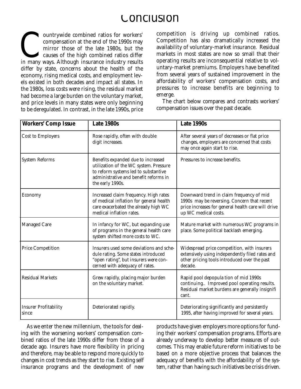# Conclusion

compensation at the end of the 1990s may<br>mirror those of the late 1980s, but the<br>causes of the high combined ratios differ<br>in many ways. Although insurance industry results ountrywide combined ratios for workers' compensation at the end of the 1990s may mirror those of the late 1980s, but the causes of the high combined ratios differ differ by state, concerns about the health of the economy, rising medical costs, and employment levels existed in both decades and impact all states. In the 1980s, loss costs were rising, the residual market had become a large burden on the voluntary market, and price levels in many states were only beginning to be deregulated. In contrast, in the late 1990s, price

competition is driving up combined ratios. Competition has also dramatically increased the availability of voluntary-market insurance. Residual markets in most states are now so small that their operating results are inconsequential relative to voluntary-market premiums. Employers have benefited from several years of sustained improvement in the affordability of workers' compensation costs, and pressures to increase benefits are beginning to emerge.

The chart below compares and contrasts workers' compensation issues over the past decade.

| <b>Workers' Comp Issue</b>            | Late 1980s                                                                                                                                                                        | Late 1990s                                                                                                                                                            |
|---------------------------------------|-----------------------------------------------------------------------------------------------------------------------------------------------------------------------------------|-----------------------------------------------------------------------------------------------------------------------------------------------------------------------|
| <b>Cost to Employers</b>              | Rose rapidly, often with double<br>digit increases.                                                                                                                               | After several years of decreases or flat price<br>changes, employers are concerned that costs<br>may once again start to rise.                                        |
| <b>System Reforms</b>                 | Benefits expanded due to increased<br>utilization of the WC system. Pressure<br>to reform systems led to substantive<br>administrative and benefit reforms in<br>the early 1990s. | Pressures to increase benefits.                                                                                                                                       |
| Economy                               | Increased claim frequency. High rates<br>of medical inflation for general health<br>care exacerbated the already high WC<br>medical inflation rates.                              | Downward trend in claim frequency of mid<br>1990s may be reversing. Concern that recent<br>price increases for general health care will drive<br>up WC medical costs. |
| <b>Managed Care</b>                   | In infancy for WC, but expanding use<br>of programs in the general health care<br>system shifted more costs to WC.                                                                | Mature market with numerous WC programs in<br>place. Some political backlash emerging.                                                                                |
| <b>Price Competition</b>              | Insurers used some deviations and sche-<br>dule rating. Some states introduced<br>"open rating", but insurers were con-<br>cerned with adequacy of rates.                         | Widespread price competition, with insurers<br>extensively using independently filed rates and<br>other pricing tools introduced over the past<br>decade.             |
| <b>Residual Markets</b>               | Grew rapidly, placing major burden<br>on the voluntary market.                                                                                                                    | Rapid pool depopula tion of mid 1990s<br>continuing Improved pool operating results.<br>Residual market burdens are generally insignifi<br>cant.                      |
| <b>Insurer Profitability</b><br>since | Deteriorated rapidly.                                                                                                                                                             | Deteriorating significantly and persistently<br>1995, after having improved for several years.                                                                        |

As we enter the new millennium, the tools for dealing with the worsening workers' compensation combined ratios of the late 1990s differ from those of a decade ago. Insurers have more flexibility in pricing and therefore, may be able to respond more quickly to changes in cost trends as they start to rise. Existing self insurance programs and the development of new

products have given employers more options for funding their workers' compensation programs. Efforts are already underway to develop better measures of outcomes. This may enable future reform initiatives to be based on a more objective process that balances the adequacy of benefits with the affordability of the system, rather than having such initiatives be crisis driven.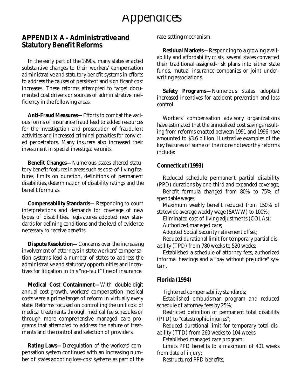# Appendices

#### **APPENDIX A - Administrative and Statutory Benefit Reforms**

In the early part of the 1990s, many states enacted substantive changes to their workers' compensation administrative and statutory benefit systems in efforts to address the causes of persistent and significant cost increases. These reforms attempted to target documented cost drivers or sources of administrative inefficiency in the following areas:

**Anti-Fraud Measures—**Efforts to combat the various forms of insurance fraud lead to added resources for the investigation and prosecution of fraudulent activities and increased criminal penalties for convicted perpetrators. Many insurers also increased their investment in special investigative units.

**Benefit Changes—**Numerous states altered statutory benefit features in areas such as cost-of-living features, limits on duration, definitions of permanent disabilities, determination of disability ratings and the benefit formulas.

**Compensability Standards—**Responding to court interpretations and demands for coverage of new types of disabilities, legislatures adopted new standards for defining conditions and the level of evidence necessary to receive benefits.

**Dispute Resolution—**Concerns over the increasing involvement of attorneys in state workers' compensation systems lead a number of states to address the administrative and statutory opportunities and incentives for litigation in this "no-fault" line of insurance.

**Medical Cost Containment-With double-digit** annual cost growth, workers' compensation medical costs were a prime target of reform in virtually every state. Reforms focused on controlling the unit cost of medical treatments through medical fee schedules or through more comprehensive managed care programs that attempted to address the nature of treatments and the control and selection of providers.

**Rating Laws—**Deregulation of the workers' compensation system continued with an increasing number of states adopting loss-cost systems as part of the rate-setting mechanism.

**Residual Markets—**Responding to a growing availability and affordability crisis, several states converted their traditional assigned-risk plans into either state funds, mutual insurance companies or joint underwriting associations.

**Safety Programs**—Numerous states adopted increased incentives for accident prevention and loss control.

Workers' compensation advisory organizations have estimated that the annualized cost savings resulting from reforms enacted between 1991 and 1996 have amounted to \$3.6 billion. Illustrative examples of the key features of some of the more noteworthy reforms include:

#### **Connecticut (1993)**

Reduced schedule permanent partial disability (PPD) durations by one-third and expanded coverage;

Benefit formula changed from 80% to 75% of spendable wages;

Maximum weekly benefit reduced from 150% of statewide average weekly wage (SAWW) to 100%;

Eliminated cost of living adjustments (COLAs);

Authorized managed care;

Adopted Social Security retirement offset;

Reduced durational limit for temporary partial disability (TPD) from 780 weeks to 520 weeks;

Established a schedule of attorney fees, authorized informal hearings and a "pay without prejudice" system.

#### **Florida (1994)**

Tightened compensability standards;

Established ombudsman program and reduced schedule of attorney fees by 25%;

Restricted definition of permanent total disability (PTD) to "catastrophic injuries";

Reduced durational limit for temporary total disability (TTD) from 260 weeks to 104 weeks;

Established managed care program;

Limits PPD benefits to a maximum of 401 weeks from date of injury;

Restructured PPD benefits;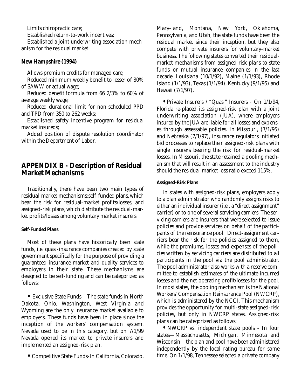Limits chiropractic care;

Established return-to-work incentives;

Established a joint underwriting association mechanism for the residual market.

#### **New Hampshire (1994)**

Allows premium credits for managed care;

Reduced minimum weekly benefit to lesser of 30% of SAWW or actual wage;

Reduced benefit formula from 66 2/3% to 60% of average weekly wage;

Reduced durational limit for non-scheduled PPD and TPD from 350 to 262 weeks;

Established safety incentive program for residual market insureds;

Added position of dispute resolution coordinator within the Department of Labor.

### **APPENDIX B - Description of Residual Market Mechanisms**

Traditionally, there have been two main types of residual-market mechanisms:self-funded plans, which bear the risk for residual-market profits/losses; and assigned-risk plans,which distribute the residual-market profits/losses among voluntary market insurers.

#### **Self-Funded Plans**

Most of these plans have historically been state funds, i.e. quasi-insurance companies created by state government specifically for the purpose of providing a guaranteed insurance market and quality services to employers in their state. These mechanisms are designed to be self-funding and can be categorized as follows:

**•** Exclusive State Funds – The state funds in North Dakota, Ohio, Washington, West Virginia and Wyoming are the only insurance market available to employers. These funds have been in place since the inception of the workers' compensation system. Nevada used to be in this category, but on 7/1/99 Nevada opened its market to private insurers and implemented an assigned-risk plan.

**•** Competitive State Funds-In California, Colorado,

Mary-land, Montana, New York, Oklahoma, Pennsylvania, and Utah, the state funds have been the residual market since their inception, but they also compete with private insurers for voluntary-market business. The following states converted their residualmarket mechanisms from assigned-risk plans to state funds or mutual insurance companies in the last decade: Louisiana (10/1/92), Maine (1/1/93), Rhode Island (1/1/93), Texas (1/1/94), Kentucky (9/1/95) and Hawaii (7/1/97).

**•** Private Insurers / "Quasi" Insurers - On 1/1/94, Florida re-placed its assigned-risk plan with a joint underwriting association (JUA), where employers insured by the JUA are liable for all losses and expenses through assessable policies. In Missouri, (7/1/95) and Nebraska (7/1/97), insurance regulators initiated bid processes to replace their assigned-risk plans with single insurers bearing the risk for residual-market losses. In Missouri, the state retained a pooling mechanism that will result in an assessment to the industry should the residual-market loss ratio exceed 115%.

#### **Assigned-Risk Plans**

In states with assigned-risk plans, employers apply to a plan administrator who randomly assigns risks to either an individual insurer (i.e., a "direct assignment" carrier) or to one of several servicing carriers. The servicing carriers are insurers that were selected to issue policies and provide services on behalf of the participants of the reinsurance pool. Direct-assignment carriers bear the risk for the policies assigned to them, while the premiums, losses and expenses of the policies written by servicing carriers are distributed to all participants in the pool via the pool administrator. The pool administrator also works with a reserve committee to establish estimates of the ultimate incurred losses and the net operating profit/losses for the pool. In most states, the pooling mechanism is the National Workers' Compensation Reinsurance Pool (NWCRP), which is administered by the NCCI. This mechanism provides the opportunity for multi-state assigned-risk policies, but only in NWCRP states. Assigned-risk plans can be categorized as follows:

**•** NWCRP vs. independent state pools - In four states—Massachusetts, Michigan, Minnesota and Wisconsin—the plan and pool have been administered independently by the local rating bureau for some time. On 1/1/98, Tennessee selected a private company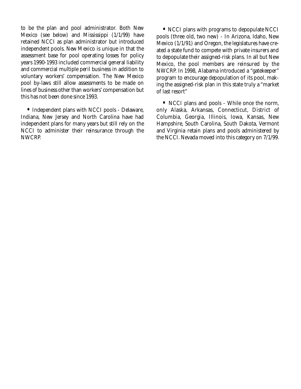to be the plan and pool administrator. Both New Mexico (see below) and Mississippi  $(1/1/99)$  have retained NCCI as plan administrator but introduced independent pools. New Mexico is unique in that the assessment base for pool operating losses for policy years 1990-1993 included commercial general liability and commercial multiple peril business in addition to voluntary workers' compensation. The New Mexico pool by-laws still allow assessments to be made on lines of business other than workers' compensation but this has not been done since 1993.

**•** Independent plans with NCCI pools - Delaware, Indiana, New Jersey and North Carolina have had independent plans for many years but still rely on the NCCI to administer their reinsurance through the NWCRP.

**•** NCCI plans with programs to depopulate NCCI pools (three old, two new) - In Arizona, Idaho, New Mexico (1/1/91) and Oregon, the legislatures have created a state fund to compete with private insurers and to depopulate their assigned-risk plans. In all but New Mexico, the pool members are reinsured by the NWCRP. In 1998, Alabama introduced a "gatekeeper" program to encourage depopulation of its pool, making the assigned-risk plan in this state truly a "market of last resort"

**•** NCCI plans and pools - While once the norm, only Alaska, Arkansas, Connecticut, District of Columbia, Georgia, Illinois, Iowa, Kansas, New Hampshire, South Carolina, South Dakota, Vermont and Virginia retain plans and pools administered by the NCCI. Nevada moved into this category on 7/1/99.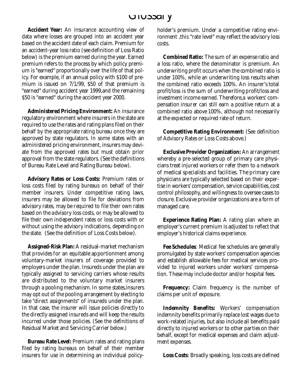## Glossary

**Accident Year:** An insurance accounting view of data where losses are grouped into an accident year based on the accident date of each claim. Premium for an accident-year loss ratio (see definition of Loss Ratio below) is the premium earned during the year. Earned premium refers to the process by which policy premium is "earned" proportionally over the life of that policy. For example, if an annual policy with \$100 of premium is issued on 7/1/99, \$50 of that premium is "earned" during accident year 1999,and the remaining \$50 is "earned" during the accident year 2000.

**Administered Pricing Environment:** An insurance regulatory environment where insurers in the state are required to use the rates and rating plans filed on their behalf by the appropriate rating bureau once they are approved by state regulators. In some states with an administered pricing environment, insurers may deviate from the approved rates but must obtain prior approval from the state regulators. (See the definitions of Bureau Rate Level and Rating Bureau below).

**Advisory Rates or Loss Costs:** Premium rates or loss costs filed by rating bureaus on behalf of their member insurers. Under competitive rating laws, insurers may be allowed to file for deviations from advisory rates, may be required to file their own rates based on the advisory loss costs, or may be allowed to file their own independent rates or loss costs with or without using the advisory indications, depending on the state. (See the definition of Loss Costs below).

**Assigned-Risk Plan:** A residual-market mechanism that provides for an equitable apportionment among voluntary-market insurers of coverage provided to employers under the plan. Insureds under the plan are typically assigned to servicing carriers whose results are distributed to the voluntary market insurers through a pooling mechanism. In some states,insurers may opt out of the pooling arrangement by electing to take "direct assignments" of insureds under the plan. In that case, the insurer will issue policies directly to the directly assigned insureds and will keep the results incurred under those policies. (See the definitions of Residual Market and Servicing Carrier below.)

**Bureau Rate Level:** Premium rates and rating plans filed by rating bureaus on behalf of their member insurers for use in determining an individual policyholder's premium. Under a competitive rating environment ,this "rate level" may reflect the advisory loss costs.

**Combined Ratio:** The sum of an expense ratio and a loss ratio, where the denominator is premium. An underwriting profit occurs when the combined ratio is under 100%, while an underwriting loss results when the combined ratio exceeds 100%. An insurer's total profit/loss is the sum of underwriting profit/loss and investment income earned. Therefore,a workers' compensation insurer can still earn a positive return at a combined ratio above 100%, although not ne cessarily at the expected or required rate of return.

**Competitive Rating Environment:** (See definition of Advisory Rates or Loss Costs above.)

**Exclusive Provider Organization:** An arrangement whereby a pre-selected group of primary care physicians treat injured workers or refer them to a network of medical specialists and facilities. The primary care physicians are typically selected based on their expertise in workers' compensation, service capabilities, cost control philosophy, and willingness to oversee cases to closure. Exclusive provider organizations are a form of managed care.

**Experience Rating Plan:** A rating plan where an employer's current premium is adjusted to reflect that employer's historical claims experience.

**Fee Schedules**: Medical fee schedules are generally promulgated by state workers' compensation agencies and establish allowable fees for medical services provided to injured workers under workers' compensation. These may include doctor and/or hospital fees.

Frequency: Claim frequency is the number of claims per unit of exposure.

**Indemnity Benefits:** Workers' compensation indemnity benefits primarily replace lost wages due to work-related injuries, but also include all benefits paid directly to injured workers or to other parties on their behalf, except for medical expenses and claim adjustment expenses.

**Loss Costs**: Broadly speaking, loss costs are defined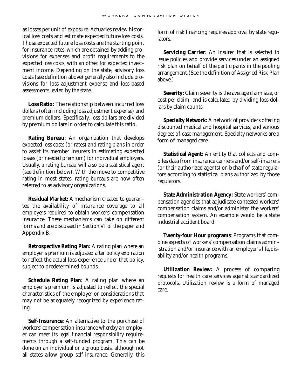as losses per unit of exposure. Actuaries review historical loss costs and estimate expected future loss costs. Those expected future loss costs are the starting point for insurance rates, which are obtained by adding provisions for expenses and profit requirements to the expected loss costs, with an offset for expected investment income. Depending on the state, advisory loss costs (see definition above) generally also include provisions for loss adjustment expense and loss-based assessments levied by the state.

**Loss Ratio:** The relationship between incurred loss dollars (often including loss adjustment expense) and premium dollars. Specifically, loss dollars are divided by premium dollars in order to calculate this ratio.

**Rating Bureau**: An organization that develops expected loss costs (or rates) and rating plans in order to assist its member insurers in estimating expected losses (or needed premium) for individual employers. Usually, a rating bureau will also be a statistical agent (see definition below). With the move to competitive rating in most states, rating bureaus are now often referred to as advisory organizations.

**Residual Market:** A mechanism created to guarantee the availability of insurance coverage to all employers required to obtain workers' compensation insurance. These mechanisms can take on different forms and are discussed in Section VI of the paper and Appendix B.

**Retrospective Rating Plan:** A rating plan where an employer's premium is adjusted after policy expiration to reflect the actual loss experience under that policy, subject to predetermined bounds.

**Schedule Rating Plan:** A rating plan where an employer's premium is adjusted to reflect the special characteristics of the employer or considerations that may not be adequately recognized by experience rating.

**Self-Insurance:** An alternative to the purchase of workers' compensation insurance whereby an employer can meet its legal financial responsibility requirements through a self-funded program. This can be done on an individual or a group basis, although not all states allow group self-insurance. Generally, this

form of risk financing requires approval by state regulators.

**Servicing Carrier:** An insurer that is selected to issue policies and provide services under an assigned risk plan on behalf of the participants in the pooling arrangement.(See the definition of Assigned Risk Plan above.)

**Severity:** Claim severity is the average claim size, or cost per claim, and is calculated by dividing loss dollars by claim counts.

**Specialty Network:** A network of providers offering discounted medical and hospital services, and various degrees of case management. Specialty networks are a form of managed care.

**Statistical Agent:** An entity that collects and compiles data from insurance carriers and/or self-insurers (or their authorized agents) on behalf of state regulators according to statistical plans authorized by those regulators.

**State Administration Agency:** State workers' compensation agencies that adjudicate contested workers' compensation claims and/or administer the workers' compensation system. An example would be a state industrial accident board.

**Twenty-four Hour programs**: Programs that combine aspects of workers' compensation claims administration and/or insurance with an employer's life, disability and/or health programs.

**Utilization Review:** A process of comparing requests for health care services against standardized protocols. Utilization review is a form of managed care.